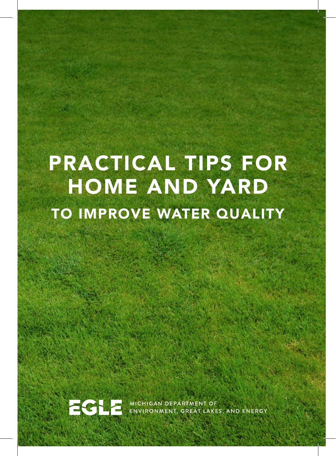# PRACTICAL TIPS FOR HOME AND YARD TO IMPROVE WATER QUALITY



**COL** MICHIGAN DEPARTMENT OF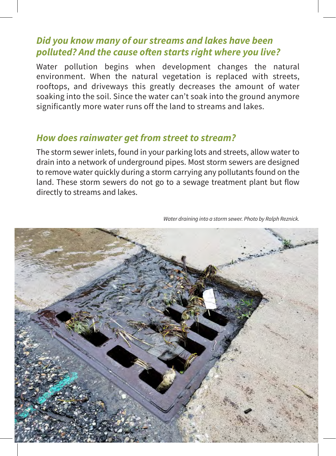#### *Did you know many of our streams and lakes have been polluted? And the cause often starts right where you live?*

Water pollution begins when development changes the natural environment. When the natural vegetation is replaced with streets, rooftops, and driveways this greatly decreases the amount of water soaking into the soil. Since the water can't soak into the ground anymore significantly more water runs off the land to streams and lakes.

#### *How does rainwater get from street to stream?*

The storm sewer inlets, found in your parking lots and streets, allow water to drain into a network of underground pipes. Most storm sewers are designed to remove water quickly during a storm carrying any pollutants found on the land. These storm sewers do not go to a sewage treatment plant but flow directly to streams and lakes.

*Water draining into a storm sewer. Photo by Ralph Reznick.*

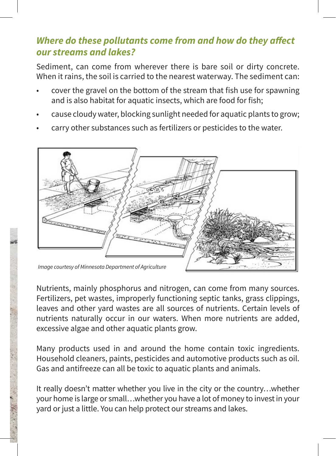#### *Where do these pollutants come from and how do they affect our streams and lakes?*

Sediment, can come from wherever there is bare soil or dirty concrete. When it rains, the soil is carried to the nearest waterway. The sediment can:

- cover the gravel on the bottom of the stream that fish use for spawning and is also habitat for aquatic insects, which are food for fish;
- cause cloudy water, blocking sunlight needed for aquatic plants to grow;
- carry other substances such as fertilizers or pesticides to the water.



Nutrients, mainly phosphorus and nitrogen, can come from many sources. Fertilizers, pet wastes, improperly functioning septic tanks, grass clippings, leaves and other yard wastes are all sources of nutrients. Certain levels of nutrients naturally occur in our waters. When more nutrients are added, excessive algae and other aquatic plants grow.

Many products used in and around the home contain toxic ingredients. Household cleaners, paints, pesticides and automotive products such as oil. Gas and antifreeze can all be toxic to aquatic plants and animals.

It really doesn't matter whether you live in the city or the country…whether your home is large or small…whether you have a lot of money to invest in your yard or just a little. You can help protect our streams and lakes.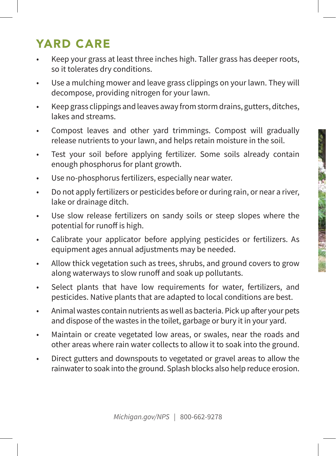### YARD CARE

- Keep your grass at least three inches high. Taller grass has deeper roots, so it tolerates dry conditions.
- Use a mulching mower and leave grass clippings on your lawn. They will decompose, providing nitrogen for your lawn.
- Keep grass clippings and leaves away from storm drains, gutters, ditches, lakes and streams.
- Compost leaves and other yard trimmings. Compost will gradually release nutrients to your lawn, and helps retain moisture in the soil.
- Test your soil before applying fertilizer. Some soils already contain enough phosphorus for plant growth.
- Use no-phosphorus fertilizers, especially near water.
- Do not apply fertilizers or pesticides before or during rain, or near a river, lake or drainage ditch.
- Use slow release fertilizers on sandy soils or steep slopes where the potential for runoff is high.
- Calibrate your applicator before applying pesticides or fertilizers. As equipment ages annual adjustments may be needed.
- Allow thick vegetation such as trees, shrubs, and ground covers to grow along waterways to slow runoff and soak up pollutants.
- Select plants that have low requirements for water, fertilizers, and pesticides. Native plants that are adapted to local conditions are best.
- Animal wastes contain nutrients as well as bacteria. Pick up after your pets and dispose of the wastes in the toilet, garbage or bury it in your yard.
- Maintain or create vegetated low areas, or swales, near the roads and other areas where rain water collects to allow it to soak into the ground.
- Direct gutters and downspouts to vegetated or gravel areas to allow the rainwater to soak into the ground. Splash blocks also help reduce erosion.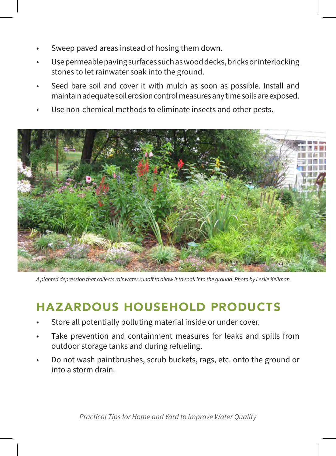- Sweep paved areas instead of hosing them down.
- Use permeable paving surfaces such as wood decks, bricks or interlocking stones to let rainwater soak into the ground.
- Seed bare soil and cover it with mulch as soon as possible. Install and maintain adequate soil erosion control measures any time soils are exposed.
- Use non-chemical methods to eliminate insects and other pests.



*A planted depression that collects rainwater runoff to allow it to soak into the ground. Photo by Leslie Kellman.*

## HAZARDOUS HOUSEHOLD PRODUCTS

- Store all potentially polluting material inside or under cover.
- Take prevention and containment measures for leaks and spills from outdoor storage tanks and during refueling.
- Do not wash paintbrushes, scrub buckets, rags, etc. onto the ground or into a storm drain.

*Practical Tips for Home and Yard to Improve Water Quality*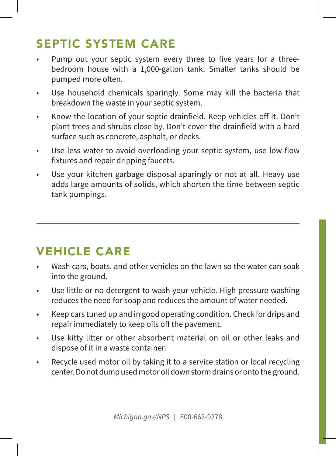## SEPTIC SYSTEM CARE

- Pump out your septic system every three to five years for a threebedroom house with a 1,000-gallon tank. Smaller tanks should be pumped more often.
- Use household chemicals sparingly. Some may kill the bacteria that breakdown the waste in your septic system.
- Know the location of your septic drainfield. Keep vehicles off it. Don't plant trees and shrubs close by. Don't cover the drainfield with a hard surface such as concrete, asphalt, or decks.
- Use less water to avoid overloading your septic system, use low-flow fixtures and repair dripping faucets.
- Use your kitchen garbage disposal sparingly or not at all. Heavy use adds large amounts of solids, which shorten the time between septic tank pumpings.

#### VEHICLE CARE

- Wash cars, boats, and other vehicles on the lawn so the water can soak into the ground.
- Use little or no detergent to wash your vehicle. High pressure washing reduces the need for soap and reduces the amount of water needed.
- Keep cars tuned up and in good operating condition. Check for drips and repair immediately to keep oils off the pavement.
- Use kitty litter or other absorbent material on oil or other leaks and dispose of it in a waste container.
- Recycle used motor oil by taking it to a service station or local recycling center. Do not dump used motor oil down storm drains or onto the ground.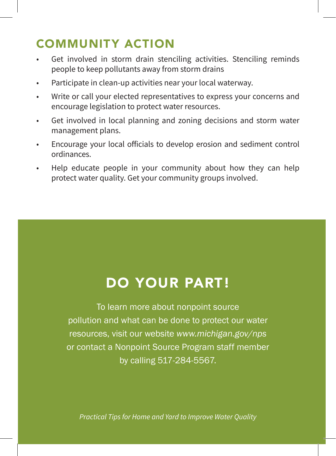#### COMMUNITY ACTION

- Get involved in storm drain stenciling activities. Stenciling reminds people to keep pollutants away from storm drains
- Participate in clean-up activities near your local waterway.
- Write or call your elected representatives to express your concerns and encourage legislation to protect water resources.
- Get involved in local planning and zoning decisions and storm water management plans.
- Encourage your local officials to develop erosion and sediment control ordinances.
- Help educate people in your community about how they can help protect water quality. Get your community groups involved.

## DO YOUR PART!

To learn more about nonpoint source pollution and what can be done to protect our water resources, visit our website *www.michigan.gov/nps* or contact a Nonpoint Source Program staff member by calling 517-284-5567.

*Practical Tips for Home and Yard to Improve Water Quality*